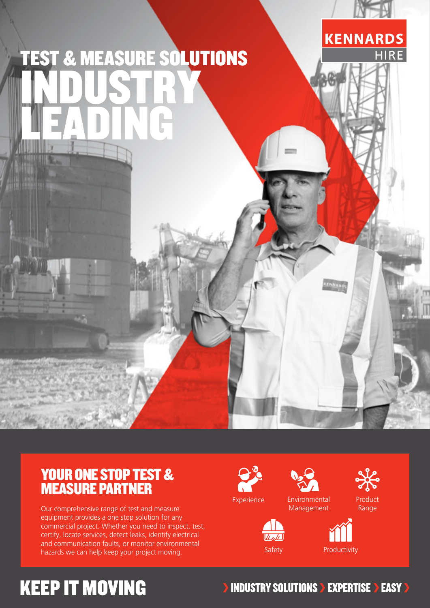

### YOUR ONE STOP TEST & MEASURE PARTNER

Our comprehensive range of test and measure equipment provides a one stop solution for any commercial project. Whether you need to inspect, test, certify, locate services, detect leaks, identify electrical and communication faults, or monitor environmental hazards we can help keep your project moving.





Management

Product Range





## **KEEP IT MOVING**

**INDUSTRY SOLUTIONS > EXPERTISE > EASY >**